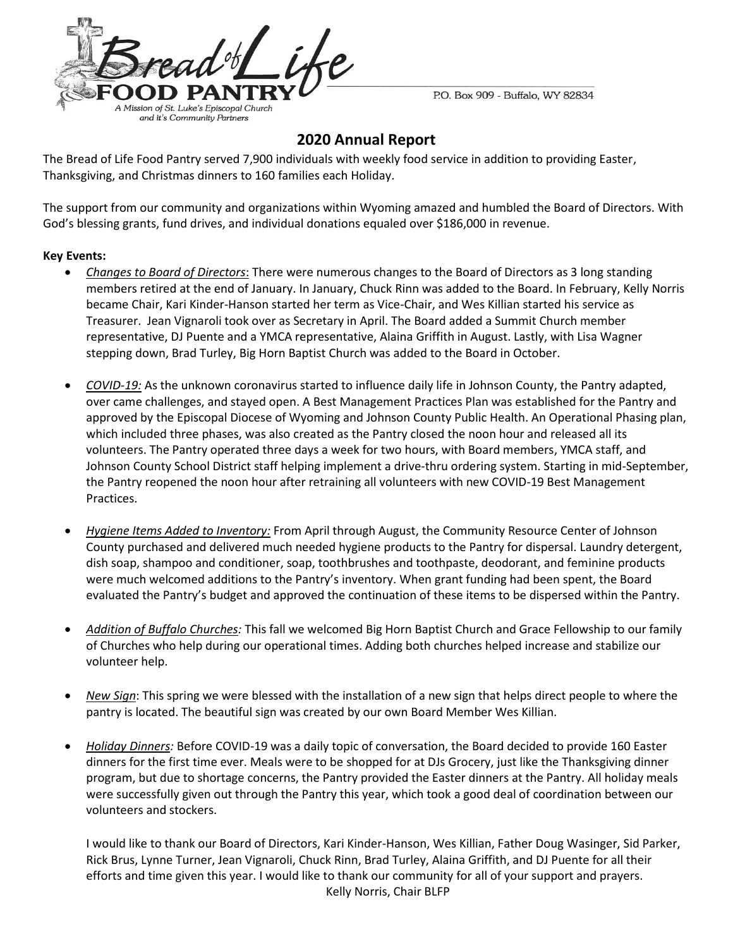

P.O. Box 909 - Buffalo, WY 82834

#### **2020 Annual Report**

The Bread of Life Food Pantry served 7,900 individuals with weekly food service in addition to providing Easter, Thanksgiving, and Christmas dinners to 160 families each Holiday.

The support from our community and organizations within Wyoming amazed and humbled the Board of Directors. With God's blessing grants, fund drives, and individual donations equaled over \$186,000 in revenue.

#### **Key Events:**

- *Changes to Board of Directors*: There were numerous changes to the Board of Directors as 3 long standing members retired at the end of January. In January, Chuck Rinn was added to the Board. In February, Kelly Norris became Chair, Kari Kinder-Hanson started her term as Vice-Chair, and Wes Killian started his service as Treasurer. Jean Vignaroli took over as Secretary in April. The Board added a Summit Church member representative, DJ Puente and a YMCA representative, Alaina Griffith in August. Lastly, with Lisa Wagner stepping down, Brad Turley, Big Horn Baptist Church was added to the Board in October.
- *COVID-19:* As the unknown coronavirus started to influence daily life in Johnson County, the Pantry adapted, over came challenges, and stayed open. A Best Management Practices Plan was established for the Pantry and approved by the Episcopal Diocese of Wyoming and Johnson County Public Health. An Operational Phasing plan, which included three phases, was also created as the Pantry closed the noon hour and released all its volunteers. The Pantry operated three days a week for two hours, with Board members, YMCA staff, and Johnson County School District staff helping implement a drive-thru ordering system. Starting in mid-September, the Pantry reopened the noon hour after retraining all volunteers with new COVID-19 Best Management Practices.
- *Hygiene Items Added to Inventory:* From April through August, the Community Resource Center of Johnson County purchased and delivered much needed hygiene products to the Pantry for dispersal. Laundry detergent, dish soap, shampoo and conditioner, soap, toothbrushes and toothpaste, deodorant, and feminine products were much welcomed additions to the Pantry's inventory. When grant funding had been spent, the Board evaluated the Pantry's budget and approved the continuation of these items to be dispersed within the Pantry.
- *Addition of Buffalo Churches:* This fall we welcomed Big Horn Baptist Church and Grace Fellowship to our family of Churches who help during our operational times. Adding both churches helped increase and stabilize our volunteer help.
- *New Sign*: This spring we were blessed with the installation of a new sign that helps direct people to where the pantry is located. The beautiful sign was created by our own Board Member Wes Killian.
- *Holiday Dinners:* Before COVID-19 was a daily topic of conversation, the Board decided to provide 160 Easter dinners for the first time ever. Meals were to be shopped for at DJs Grocery, just like the Thanksgiving dinner program, but due to shortage concerns, the Pantry provided the Easter dinners at the Pantry. All holiday meals were successfully given out through the Pantry this year, which took a good deal of coordination between our volunteers and stockers.

I would like to thank our Board of Directors, Kari Kinder-Hanson, Wes Killian, Father Doug Wasinger, Sid Parker, Rick Brus, Lynne Turner, Jean Vignaroli, Chuck Rinn, Brad Turley, Alaina Griffith, and DJ Puente for all their efforts and time given this year. I would like to thank our community for all of your support and prayers. Kelly Norris, Chair BLFP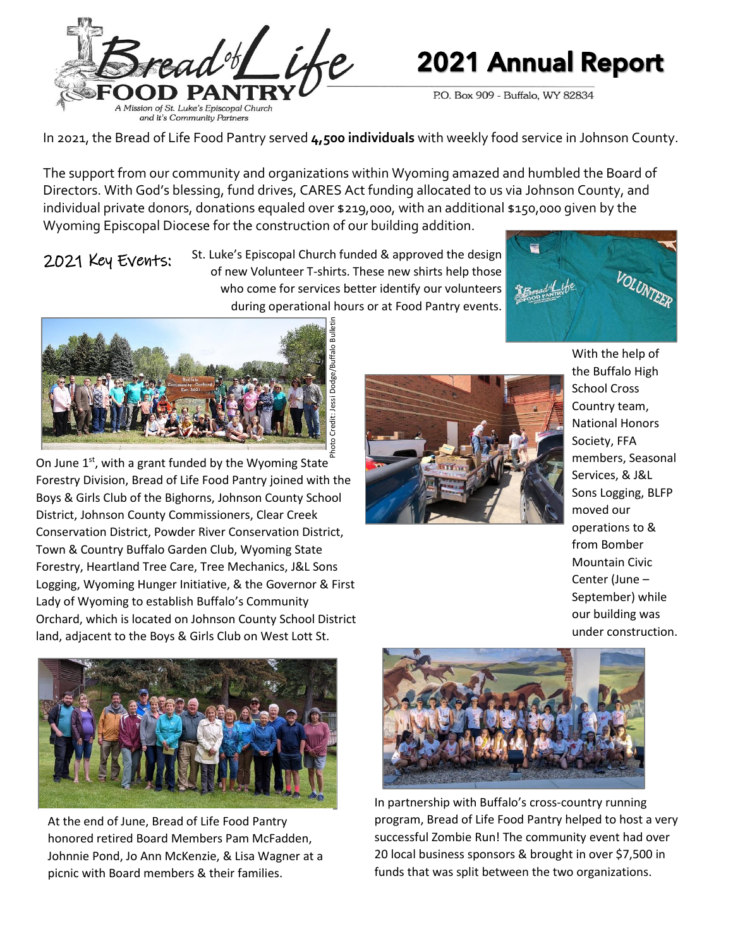

# **2021 Annual Report**

P.O. Box 909 - Buffalo, WY 82834

In 2021, the Bread of Life Food Pantry served **4,500 individuals** with weekly food service in Johnson County.

The support from our community and organizations within Wyoming amazed and humbled the Board of Directors. With God's blessing, fund drives, CARES Act funding allocated to us via Johnson County, and individual private donors, donations equaled over \$219,000, with an additional \$150,000 given by the Wyoming Episcopal Diocese for the construction of our building addition.

### 2021 Key Events:

St. Luke's Episcopal Church funded & approved the design of new Volunteer T-shirts. These new shirts help those who come for services better identify our volunteers during operational hours or at Food Pantry events.





On June  $1<sup>st</sup>$ , with a grant funded by the Wyoming State Forestry Division, Bread of Life Food Pantry joined with the Boys & Girls Club of the Bighorns, Johnson County School District, Johnson County Commissioners, Clear Creek Conservation District, Powder River Conservation District, Town & Country Buffalo Garden Club, Wyoming State Forestry, Heartland Tree Care, Tree Mechanics, J&L Sons Logging, Wyoming Hunger Initiative, & the Governor & First Lady of Wyoming to establish Buffalo's Community Orchard, which is located on Johnson County School District land, adjacent to the Boys & Girls Club on West Lott St. Photo Credit: Jessi Dodge/Buffalo Bulletin



With the help of the Buffalo High School Cross Country team, National Honors Society, FFA members, Seasonal Services, & J&L Sons Logging, BLFP moved our operations to & from Bomber Mountain Civic Center (June – September) while our building was under construction.



At the end of June, Bread of Life Food Pantry honored retired Board Members Pam McFadden, Johnnie Pond, Jo Ann McKenzie, & Lisa Wagner at a picnic with Board members & their families.



In partnership with Buffalo's cross-country running program, Bread of Life Food Pantry helped to host a very successful Zombie Run! The community event had over 20 local business sponsors & brought in over \$7,500 in funds that was split between the two organizations.